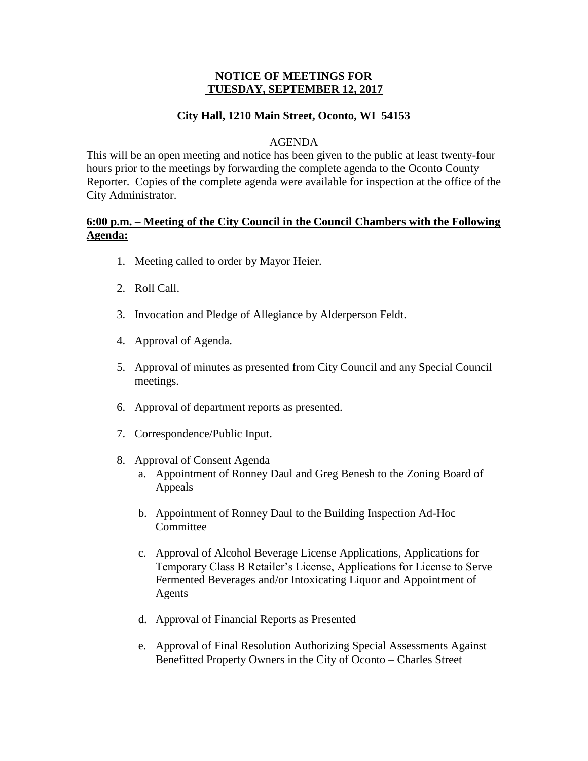## **NOTICE OF MEETINGS FOR TUESDAY, SEPTEMBER 12, 2017**

# **City Hall, 1210 Main Street, Oconto, WI 54153**

### AGENDA

This will be an open meeting and notice has been given to the public at least twenty-four hours prior to the meetings by forwarding the complete agenda to the Oconto County Reporter. Copies of the complete agenda were available for inspection at the office of the City Administrator.

# **6:00 p.m. – Meeting of the City Council in the Council Chambers with the Following Agenda:**

- 1. Meeting called to order by Mayor Heier.
- 2. Roll Call.
- 3. Invocation and Pledge of Allegiance by Alderperson Feldt.
- 4. Approval of Agenda.
- 5. Approval of minutes as presented from City Council and any Special Council meetings.
- 6. Approval of department reports as presented.
- 7. Correspondence/Public Input.
- 8. Approval of Consent Agenda
	- a. Appointment of Ronney Daul and Greg Benesh to the Zoning Board of Appeals
	- b. Appointment of Ronney Daul to the Building Inspection Ad-Hoc Committee
	- c. Approval of Alcohol Beverage License Applications, Applications for Temporary Class B Retailer's License, Applications for License to Serve Fermented Beverages and/or Intoxicating Liquor and Appointment of Agents
	- d. Approval of Financial Reports as Presented
	- e. Approval of Final Resolution Authorizing Special Assessments Against Benefitted Property Owners in the City of Oconto – Charles Street